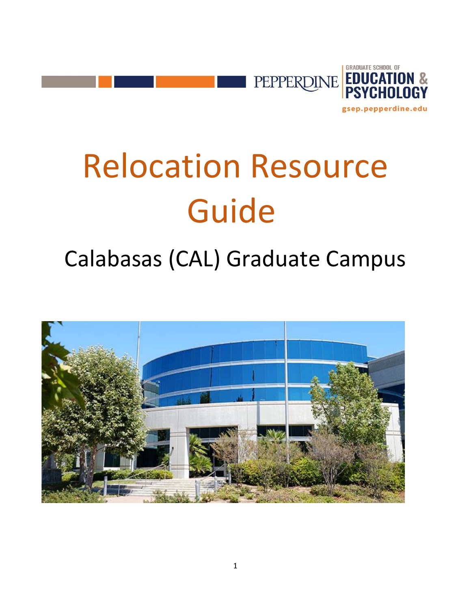

# Relocation Resource Guide

# Calabasas (CAL) Graduate Campus

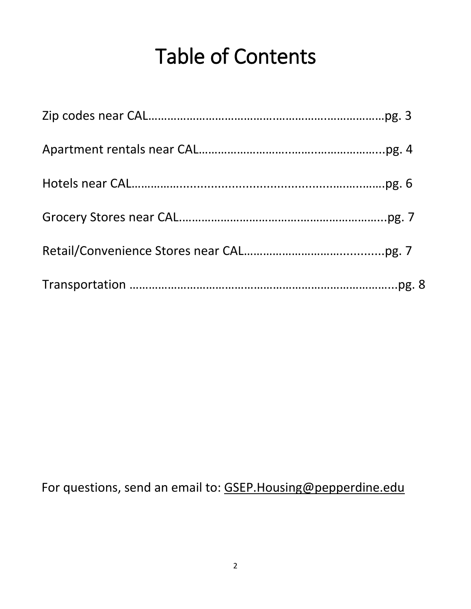# Table of Contents

For questions, send an email to: [GSEP.Housing@pepperdine.edu](mailto:GSEP.Housing@pepperdine.edu)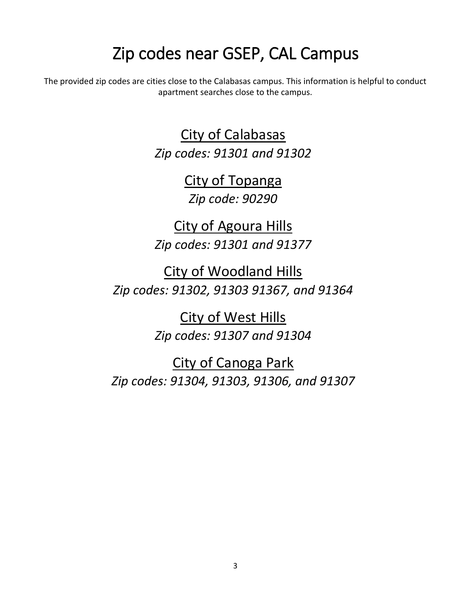# Zip codes near GSEP, CAL Campus

The provided zip codes are cities close to the Calabasas campus. This information is helpful to conduct apartment searches close to the campus.

> City of Calabasas *Zip codes: 91301 and 91302*

> > City of Topanga *Zip code: 90290*

City of Agoura Hills *Zip codes: 91301 and 91377*

City of Woodland Hills *Zip codes: 91302, 91303 91367, and 91364*

> City of West Hills *Zip codes: 91307 and 91304*

City of Canoga Park *Zip codes: 91304, 91303, 91306, and 91307*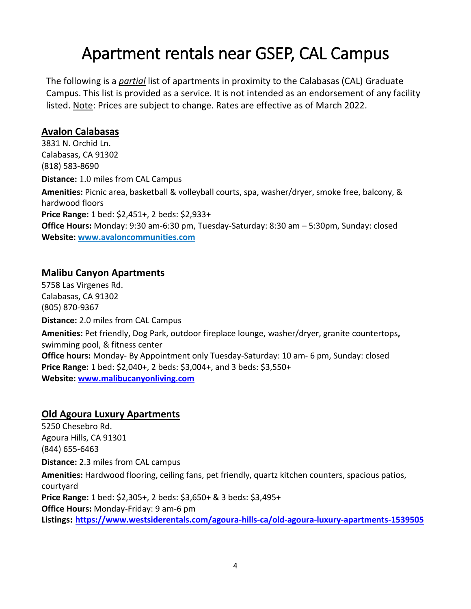# Apartment rentals near GSEP, CAL Campus

The following is a *partial* list of apartments in proximity to the Calabasas (CAL) Graduate Campus. This list is provided as a service. It is not intended as an endorsement of any facility listed. Note: Prices are subject to change. Rates are effective as of March 2022.

#### **Avalon Calabasas**

3831 N. Orchid Ln. Calabasas, CA 91302 (818) 583-8690 **Distance:** 1.0 miles from CAL Campus **Amenities:** Picnic area, basketball & volleyball courts, spa, washer/dryer, smoke free, balcony, & hardwood floors **Price Range:** 1 bed: \$2,451+, 2 beds: \$2,933+ **Office Hours:** Monday: 9:30 am-6:30 pm, Tuesday-Saturday: 8:30 am – 5:30pm, Sunday: closed **Website: [www.avaloncommunities.com](http://www.avaloncommunities.com/)**

#### **Malibu Canyon Apartments**

5758 Las Virgenes Rd. Calabasas, CA 91302 (805) 870-9367 **Distance:** 2.0 miles from CAL Campus **Amenities:** Pet friendly, Dog Park, outdoor fireplace lounge, washer/dryer, granite countertops**,**  swimming pool, & fitness center **Office hours:** Monday- By Appointment only Tuesday-Saturday: 10 am- 6 pm, Sunday: closed **Price Range:** 1 bed: \$2,040+, 2 beds: \$3,004+, and 3 beds: \$3,550+ **Website: [www.malibucanyonliving.com](http://www.malibucanyonliving.com/)**

#### **Old Agoura Luxury Apartments**

5250 Chesebro Rd. Agoura Hills, CA 91301 (844) 655-6463 **Distance:** 2.3 miles from CAL campus **Amenities:** Hardwood flooring, ceiling fans, pet friendly, quartz kitchen counters, spacious patios, courtyard **Price Range:** 1 bed: \$2,305+, 2 beds: \$3,650+ & 3 beds: \$3,495+ **Office Hours:** Monday-Friday: 9 am-6 pm

**Listings: <https://www.westsiderentals.com/agoura-hills-ca/old-agoura-luxury-apartments-1539505>**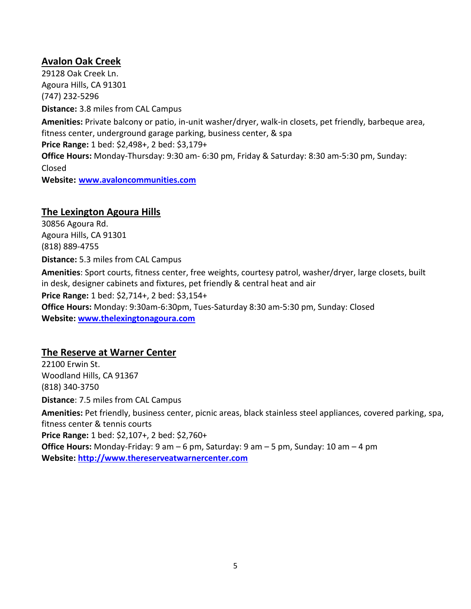#### **Avalon Oak Creek**

29128 Oak Creek Ln. Agoura Hills, CA 91301 (747) 232-5296 **Distance:** 3.8 miles from CAL Campus

**Amenities:** Private balcony or patio, in-unit washer/dryer, walk-in closets, pet friendly, barbeque area, fitness center, underground garage parking, business center, & spa **Price Range:** 1 bed: \$2,498+, 2 bed: \$3,179+ **Office Hours:** Monday-Thursday: 9:30 am- 6:30 pm, Friday & Saturday: 8:30 am-5:30 pm, Sunday: Closed **Website: [www.avaloncommunities.com](http://www.avaloncommunities.com/)**

#### **The Lexington Agoura Hills**

30856 Agoura Rd. Agoura Hills, CA 91301 (818) 889-4755 **Distance:** 5.3 miles from CAL Campus **Amenities**: Sport courts, fitness center, free weights, courtesy patrol, washer/dryer, large closets, built in desk, designer cabinets and fixtures, pet friendly & central heat and air **Price Range:** 1 bed: \$2,714+, 2 bed: \$3,154+ **Office Hours:** Monday: 9:30am-6:30pm, Tues-Saturday 8:30 am-5:30 pm, Sunday: Closed **Website: [www.thelexingtonagoura.com](http://www.thelexingtonagoura.com/)**

#### **The Reserve at Warner Center**

22100 Erwin St. Woodland Hills, CA 91367 (818) 340-3750 **Distance**: 7.5 miles from CAL Campus **Amenities:** Pet friendly, business center, picnic areas, black stainless steel appliances, covered parking, spa, fitness center & tennis courts **Price Range:** 1 bed: \$2,107+, 2 bed: \$2,760+ **Office Hours:** Monday-Friday: 9 am – 6 pm, Saturday: 9 am – 5 pm, Sunday: 10 am – 4 pm **Website: [http://www.thereserveatwarnercenter.com](http://www.thereserveatwarnercenter.com/)**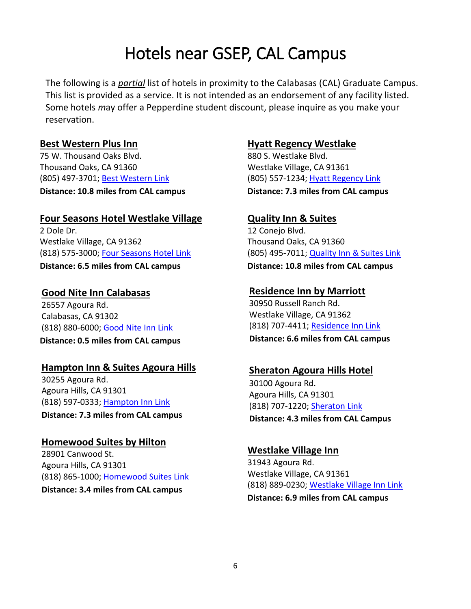# Hotels near GSEP, CAL Campus

The following is a *partial* list of hotels in proximity to the Calabasas (CAL) Graduate Campus. This list is provided as a service. It is not intended as an endorsement of any facility listed. Some hotels *m*ay offer a Pepperdine student discount, please inquire as you make your reservation.

#### **Best Western Plus Inn**

75 W. Thousand Oaks Blvd. Thousand Oaks, CA 91360 (805) 497-3701; [Best Western Link](https://www.bestwestern.com/en_US/book/hotel-rooms.05651.html?iata=00171880&ssob=BLBWI0004G&cid=BLBWI0004G:google:gmb:05651) **Distance: 10.8 miles from CAL campus** 

#### **Four Seasons Hotel Westlake Village**

2 Dole Dr. Westlake Village, CA 91362 (818) 575-3000; [Four Seasons Hotel Link](https://www.fourseasons.com/westlakevillage/)  **Distance: 6.5 miles from CAL campus** 

**Good Nite Inn Calabasas**  26557 Agoura Rd. Calabasas, CA 91302 (818) 880-6000; [Good Nite Inn Link](http://calabasas.goodnite.com/)

**Distance: 0.5 miles from CAL campus**

#### **Hampton Inn & Suites Agoura Hills**

30255 Agoura Rd. Agoura Hills, CA 91301 (818) 597-0333; [Hampton Inn Link](http://hamptoninn3.hilton.com/en/hotels/california/hampton-inn-and-suites-agoura-hills-AGOCAHX/index.html)

**Distance: 7.3 miles from CAL campus** 

#### **Homewood Suites by Hilton**

28901 Canwood St. Agoura Hills, CA 91301 (818) 865-1000; [Homewood Suites Link](http://homewoodsuites3.hilton.com/en/hotels/california/homewood-suites-by-hilton-agoura-hills-AGOHWHW/index.html) **Distance: 3.4 miles from CAL campus** 

#### **Hyatt Regency Westlake**

880 S. Westlake Blvd. Westlake Village, CA 91361 (805) 557-1234; [Hyatt Regency Link](https://westlake.regency.hyatt.com/en/hotel/home.html) **Distance: 7.3 miles from CAL campus** 

#### **Quality Inn & Suites**

12 Conejo Blvd. Thousand Oaks, CA 91360 (805) 495-7011; [Quality Inn & Suites Link](https://www.choicehotels.com/california/thousand-oaks/quality-inn-hotels/caa68?source=gyxt) **Distance: 10.8 miles from CAL campus** 

#### **Residence Inn by Marriott**

30950 Russell Ranch Rd. Westlake Village, CA 91362 (818) 707-4411; [Residence Inn Link](http://www.marriott.com/hotels/travel/laxwv-residence-inn-los-angeles-westlake-village/?scid=bb1a189a-fec3-4d19-a255-54ba596febe2) **Distance: 6.6 miles from CAL campus** 

#### **Sheraton Agoura Hills Hotel**

30100 Agoura Rd. Agoura Hills, CA 91301 (818) 707-1220; [Sheraton Link](http://www.sheratonagourahills.com/?SWAQ=958P) **Distance: 4.3 miles from CAL Campus** 

#### **Westlake Village Inn**

31943 Agoura Rd. Westlake Village, CA 91361 (818) 889-0230; [Westlake Village Inn Link](https://www.westlakevillageinn.com/) **Distance: 6.9 miles from CAL campus**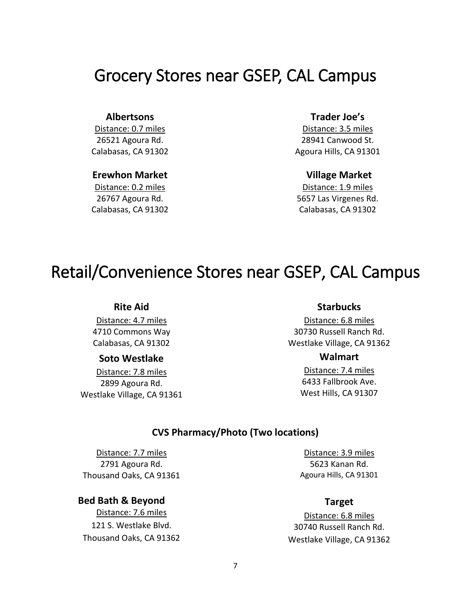### Grocery Stores near GSEP, CAL Campus

#### **Albertsons**

Distance: 0.7 miles 26521 Agoura Rd. Calabasas, CA 91302

#### **Erewhon Market**

Distance: 0.2 miles 26767 Agoura Rd. Calabasas, CA 91302

#### **Trader Joe's**

Distance: 3.5 miles 28941 Canwood St. Agoura Hills, CA 91301

#### **Village Market**

Distance: 1.9 miles 5657 Las Virgenes Rd. Calabasas, CA 91302

### Retail/Convenience Stores near GSEP, CAL Campus

#### **Rite Aid**

Distance: 4.7 miles 4710 Commons Way Calabasas, CA 91302

#### **Soto Westlake**

Distance: 7.8 miles 2899 Agoura Rd. Westlake Village, CA 91361

#### **Starbucks**

Distance: 6.8 miles 30730 Russell Ranch Rd. Westlake Village, CA 91362

#### **Walmart**

Distance: 7.4 miles 6433 Fallbrook Ave. West Hills, CA 91307

#### **CVS Pharmacy/Photo (Two locations)**

Distance: 7.7 miles 2791 Agoura Rd. Thousand Oaks, CA 91361

 **Bed Bath & Beyond** Distance: 7.6 miles 121 S. Westlake Blvd. Thousand Oaks, CA 91362

Distance: 3.9 miles 5623 Kanan Rd. Agoura Hills, CA 91301

#### **Target**

Distance: 6.8 miles 30740 Russell Ranch Rd. Westlake Village, CA 91362